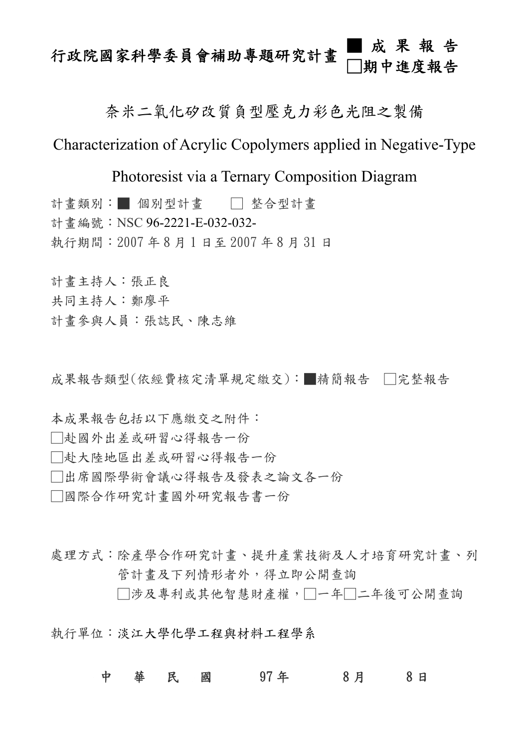## 行政院國家科學委員會補助專題研究計畫 ■成果報告 □期中進度報告

## 奈米二氧化矽改質負型壓克力彩色光阻之製備

# Characterization of Acrylic Copolymers applied in Negative-Type

Photoresist via a Ternary Composition Diagram

計書類別:■ 個別型計書 □ 整合型計書 計書編號: NSC 96-2221-E-032-032-執行期間:2007 年 8 月 1 日至 2007 年 8 月 31 日

計畫主持人:張正良 共同主持人:鄭廖平

計畫參與人員:張誌民、陳志維

成果報告類型(依經費核定清單規定繳交):■精簡報告 □完整報告

本成果報告包括以下應繳交之附件:

□赴國外出差或研習心得報告一份

□赴大陸地區出差或研習心得報告一份

□出席國際學術會議心得報告及發表之論文各一份

□國際合作研究計畫國外研究報告書一份

處理方式:除產學合作研究計書、提升產業技術及人才培育研究計書、列 管計畫及下列情形者外,得立即公開查詢

□涉及專利或其他智慧財產權,□一年□二年後可公開杳詢

執行單位:淡江大學化學工程與材料工程學系

## 中 華 民 國 97年 8月 8日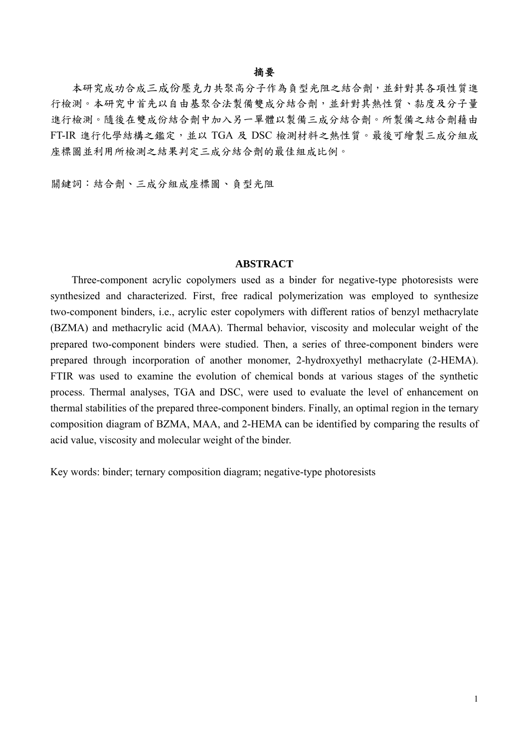#### 摘要

本研究成功合成三成份壓克力共聚高分子作為負型光阻之結合劑,並針對其各項性質進 行檢測。本研究中首先以自由基聚合法製備雙成分結合劑,並針對其熱性質、黏度及分子量 進行檢測。隨後在雙成份結合劑中加入另一單體以製備三成分結合劑。所製備之結合劑藉由 FT-IR 進行化學結構之鑑定,並以 TGA 及 DSC 檢測材料之熱性質。最後可繪製三成分組成 座標圖並利用所檢測之結果判定三成分結合劑的最佳組成比例。

關鍵詞:結合劑、三成分組成座標圖、負型光阻

#### **ABSTRACT**

 Three-component acrylic copolymers used as a binder for negative-type photoresists were synthesized and characterized. First, free radical polymerization was employed to synthesize two-component binders, i.e., acrylic ester copolymers with different ratios of benzyl methacrylate (BZMA) and methacrylic acid (MAA). Thermal behavior, viscosity and molecular weight of the prepared two-component binders were studied. Then, a series of three-component binders were prepared through incorporation of another monomer, 2-hydroxyethyl methacrylate (2-HEMA). FTIR was used to examine the evolution of chemical bonds at various stages of the synthetic process. Thermal analyses, TGA and DSC, were used to evaluate the level of enhancement on thermal stabilities of the prepared three-component binders. Finally, an optimal region in the ternary composition diagram of BZMA, MAA, and 2-HEMA can be identified by comparing the results of acid value, viscosity and molecular weight of the binder.

Key words: binder; ternary composition diagram; negative-type photoresists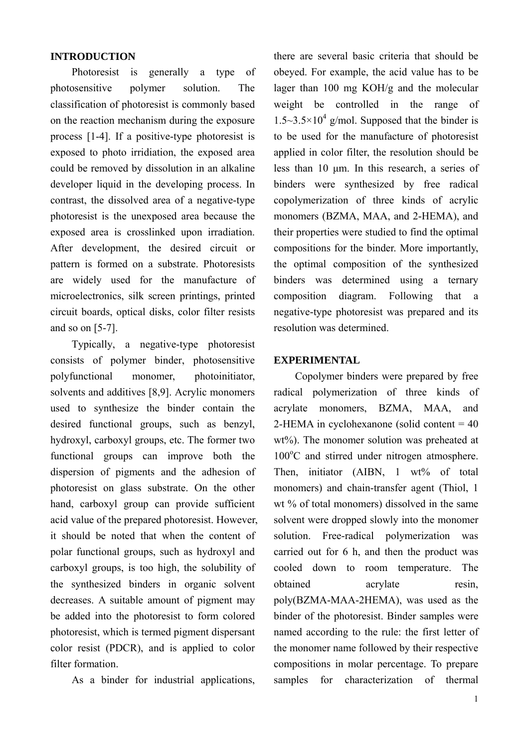### **INTRODUCTION**

Photoresist is generally a type of photosensitive polymer solution. The classification of photoresist is commonly based on the reaction mechanism during the exposure process [1-4]. If a positive-type photoresist is exposed to photo irridiation, the exposed area could be removed by dissolution in an alkaline developer liquid in the developing process. In contrast, the dissolved area of a negative-type photoresist is the unexposed area because the exposed area is crosslinked upon irradiation. After development, the desired circuit or pattern is formed on a substrate. Photoresists are widely used for the manufacture of microelectronics, silk screen printings, printed circuit boards, optical disks, color filter resists and so on [5-7].

Typically, a negative-type photoresist consists of polymer binder, photosensitive polyfunctional monomer, photoinitiator, solvents and additives [8,9]. Acrylic monomers used to synthesize the binder contain the desired functional groups, such as benzyl, hydroxyl, carboxyl groups, etc. The former two functional groups can improve both the dispersion of pigments and the adhesion of photoresist on glass substrate. On the other hand, carboxyl group can provide sufficient acid value of the prepared photoresist. However, it should be noted that when the content of polar functional groups, such as hydroxyl and carboxyl groups, is too high, the solubility of the synthesized binders in organic solvent decreases. A suitable amount of pigment may be added into the photoresist to form colored photoresist, which is termed pigment dispersant color resist (PDCR), and is applied to color filter formation.

As a binder for industrial applications,

there are several basic criteria that should be obeyed. For example, the acid value has to be lager than 100 mg KOH/g and the molecular weight be controlled in the range of  $1.5 \sim 3.5 \times 10^4$  g/mol. Supposed that the binder is to be used for the manufacture of photoresist applied in color filter, the resolution should be less than 10 μm. In this research, a series of binders were synthesized by free radical copolymerization of three kinds of acrylic monomers (BZMA, MAA, and 2-HEMA), and their properties were studied to find the optimal compositions for the binder. More importantly, the optimal composition of the synthesized binders was determined using a ternary composition diagram. Following that a negative-type photoresist was prepared and its resolution was determined.

### **EXPERIMENTAL**

 Copolymer binders were prepared by free radical polymerization of three kinds of acrylate monomers, BZMA, MAA, and 2-HEMA in cyclohexanone (solid content  $= 40$ ) wt%). The monomer solution was preheated at 100°C and stirred under nitrogen atmosphere. Then, initiator (AIBN, 1 wt% of total monomers) and chain-transfer agent (Thiol, 1 wt % of total monomers) dissolved in the same solvent were dropped slowly into the monomer solution. Free-radical polymerization was carried out for 6 h, and then the product was cooled down to room temperature. The obtained acrylate resin, poly(BZMA-MAA-2HEMA), was used as the binder of the photoresist. Binder samples were named according to the rule: the first letter of the monomer name followed by their respective compositions in molar percentage. To prepare samples for characterization of thermal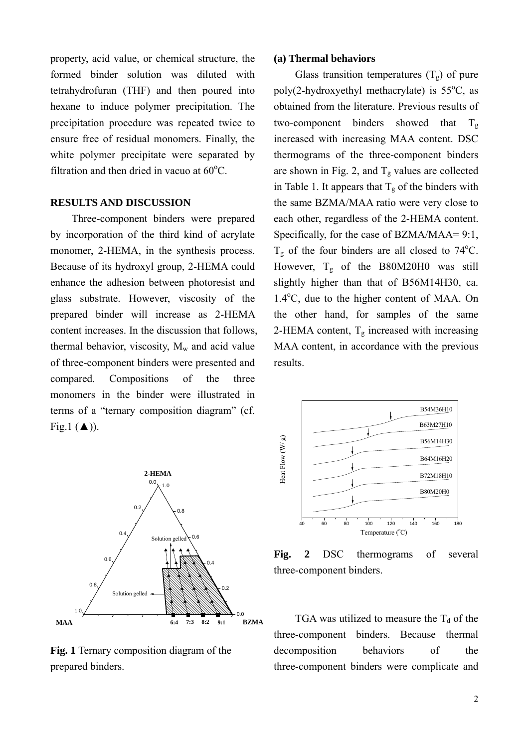property, acid value, or chemical structure, the formed binder solution was diluted with tetrahydrofuran (THF) and then poured into hexane to induce polymer precipitation. The precipitation procedure was repeated twice to ensure free of residual monomers. Finally, the white polymer precipitate were separated by filtration and then dried in vacuo at  $60^{\circ}$ C.

#### **RESULTS AND DISCUSSION**

Three-component binders were prepared by incorporation of the third kind of acrylate monomer, 2-HEMA, in the synthesis process. Because of its hydroxyl group, 2-HEMA could enhance the adhesion between photoresist and glass substrate. However, viscosity of the prepared binder will increase as 2-HEMA content increases. In the discussion that follows, thermal behavior, viscosity,  $M_w$  and acid value of three-component binders were presented and compared. Compositions of the three monomers in the binder were illustrated in terms of a "ternary composition diagram" (cf. Fig.1  $(\triangle)$ ).



**Fig. 1** Ternary composition diagram of the prepared binders.

#### **(a) Thermal behaviors**

Glass transition temperatures  $(T_{\alpha})$  of pure poly(2-hydroxyethyl methacrylate) is  $55^{\circ}$ C, as obtained from the literature. Previous results of two-component binders showed that  $T_{\sigma}$ increased with increasing MAA content. DSC thermograms of the three-component binders are shown in Fig. 2, and  $T_g$  values are collected in Table 1. It appears that  $T_g$  of the binders with the same BZMA/MAA ratio were very close to each other, regardless of the 2-HEMA content. Specifically, for the case of BZMA/MAA= 9:1,  $T_g$  of the four binders are all closed to 74°C. However, Tg of the B80M20H0 was still slightly higher than that of B56M14H30, ca. 1.4°C, due to the higher content of MAA. On the other hand, for samples of the same 2-HEMA content,  $T_g$  increased with increasing MAA content, in accordance with the previous results.



**Fig. 2** DSC thermograms of several three-component binders.

TGA was utilized to measure the  $T_d$  of the three-component binders. Because thermal decomposition behaviors of the three-component binders were complicate and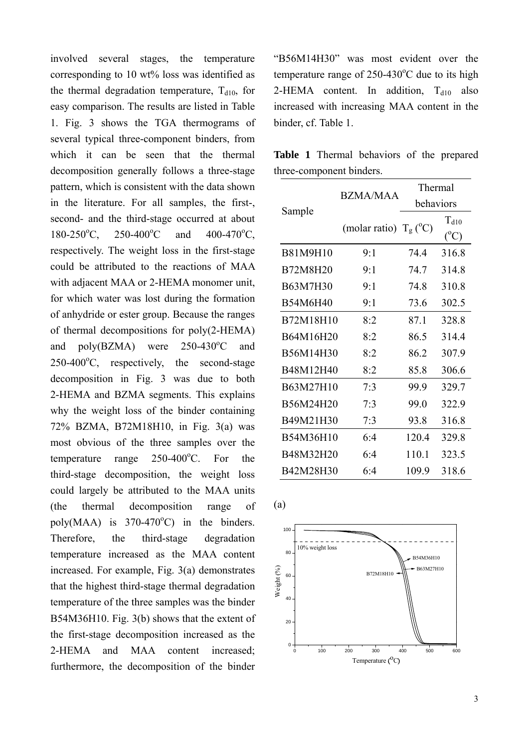involved several stages, the temperature corresponding to 10 wt% loss was identified as the thermal degradation temperature,  $T<sub>d10</sub>$ , for easy comparison. The results are listed in Table 1. Fig. 3 shows the TGA thermograms of several typical three-component binders, from which it can be seen that the thermal decomposition generally follows a three-stage pattern, which is consistent with the data shown in the literature. For all samples, the first-, second- and the third-stage occurred at about  $180-250$ <sup>o</sup>C.  $250 - 400$ <sup>o</sup>C C and  $400-470$ <sup>o</sup>C, respectively. The weight loss in the first-stage could be attributed to the reactions of MAA with adjacent MAA or 2-HEMA monomer unit, for which water was lost during the formation of anhydride or ester group. Because the ranges of thermal decompositions for poly(2-HEMA) and  $poly(BZMA)$  were  $250-430^{\circ}C$ and  $250-400$ <sup>o</sup>C, respectively, the second-stage decomposition in Fig. 3 was due to both 2-HEMA and BZMA segments. This explains why the weight loss of the binder containing 72% BZMA, B72M18H10, in Fig. 3(a) was most obvious of the three samples over the temperature range  $250-400^{\circ}$ C. For the third-stage decomposition, the weight loss could largely be attributed to the MAA units (the thermal decomposition range of poly(MAA) is  $370-470^{\circ}$ C) in the binders. Therefore, the third-stage degradation temperature increased as the MAA content increased. For example, Fig. 3(a) demonstrates that the highest third-stage thermal degradation temperature of the three samples was the binder B54M36H10. Fig. 3(b) shows that the extent of the first-stage decomposition increased as the 2-HEMA and MAA content increased; furthermore, the decomposition of the binder

"B56M14H30" was most evident over the temperature range of  $250-430^{\circ}$ C due to its high 2-HEMA content. In addition,  $T<sub>d10</sub>$  also increased with increasing MAA content in the binder, cf. Table 1.

**Table 1** Thermal behaviors of the prepared three-component binders.

| Sample          | <b>BZMA/MAA</b>                | Thermal   |                            |
|-----------------|--------------------------------|-----------|----------------------------|
|                 |                                | behaviors |                            |
|                 | (molar ratio) $T_g(^{\circ}C)$ |           | $T_{d10}$<br>$(^{\circ}C)$ |
| <b>B81M9H10</b> | $9-1$                          | 74 4      | 316.8                      |
| B72M8H20        | 9:1                            | 74.7      | 314.8                      |
| B63M7H30        | 9:1                            | 74.8      | 310.8                      |
| B54M6H40        | 9:1                            | 73.6      | 302.5                      |
| B72M18H10       | 8:2                            | 87.1      | 328.8                      |
| B64M16H20       | 8:2                            | 86.5      | 314.4                      |
| B56M14H30       | 8:2                            | 86.2      | 307.9                      |
| B48M12H40       | 8:2                            | 85.8      | 306.6                      |
| B63M27H10       | 7:3                            | 99.9      | 329.7                      |
| B56M24H20       | 7:3                            | 99.0      | 322.9                      |
| B49M21H30       | 7:3                            | 93.8      | 316.8                      |
| B54M36H10       | 6:4                            | 120.4     | 329.8                      |
| B48M32H20       | 6:4                            | 110.1     | 323.5                      |
| B42M28H30       | 6:4                            | 109.9     | 318.6                      |



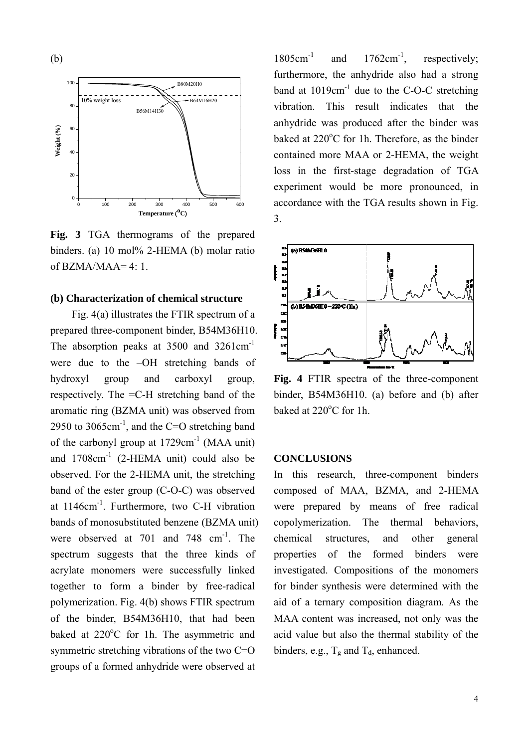

**Fig. 3** TGA thermograms of the prepared binders. (a) 10 mol% 2-HEMA (b) molar ratio of  $BZMA/MAA=4:1$ .

### **(b) Characterization of chemical structure**

Fig. 4(a) illustrates the FTIR spectrum of a prepared three-component binder, B54M36H10. The absorption peaks at 3500 and 3261cm<sup>-1</sup> were due to the –OH stretching bands of hydroxyl group and carboxyl group, respectively. The =C-H stretching band of the aromatic ring (BZMA unit) was observed from 2950 to 3065cm<sup>-1</sup>, and the C=O stretching band of the carbonyl group at  $1729 \text{cm}^{-1}$  (MAA unit) and 1708cm-1 (2-HEMA unit) could also be observed. For the 2-HEMA unit, the stretching band of the ester group (C-O-C) was observed at 1146cm-1. Furthermore, two C-H vibration bands of monosubstituted benzene (BZMA unit) were observed at 701 and 748  $cm^{-1}$ . The spectrum suggests that the three kinds of acrylate monomers were successfully linked together to form a binder by free-radical polymerization. Fig. 4(b) shows FTIR spectrum of the binder, B54M36H10, that had been baked at 220°C for 1h. The asymmetric and symmetric stretching vibrations of the two C=O groups of a formed anhydride were observed at

 $1805 \text{cm}^{-1}$  and  $1762 \text{cm}^{-1}$ , respectively; furthermore, the anhydride also had a strong band at  $1019 \text{cm}^{-1}$  due to the C-O-C stretching vibration. This result indicates that the anhydride was produced after the binder was baked at 220°C for 1h. Therefore, as the binder contained more MAA or 2-HEMA, the weight loss in the first-stage degradation of TGA experiment would be more pronounced, in accordance with the TGA results shown in Fig. 3.



**Fig. 4** FTIR spectra of the three-component binder, B54M36H10. (a) before and (b) after baked at  $220^{\circ}$ C for 1h.

#### **CONCLUSIONS**

In this research, three-component binders composed of MAA, BZMA, and 2-HEMA were prepared by means of free radical copolymerization. The thermal behaviors, chemical structures, and other general properties of the formed binders were investigated. Compositions of the monomers for binder synthesis were determined with the aid of a ternary composition diagram. As the MAA content was increased, not only was the acid value but also the thermal stability of the binders, e.g.,  $T_g$  and  $T_d$ , enhanced.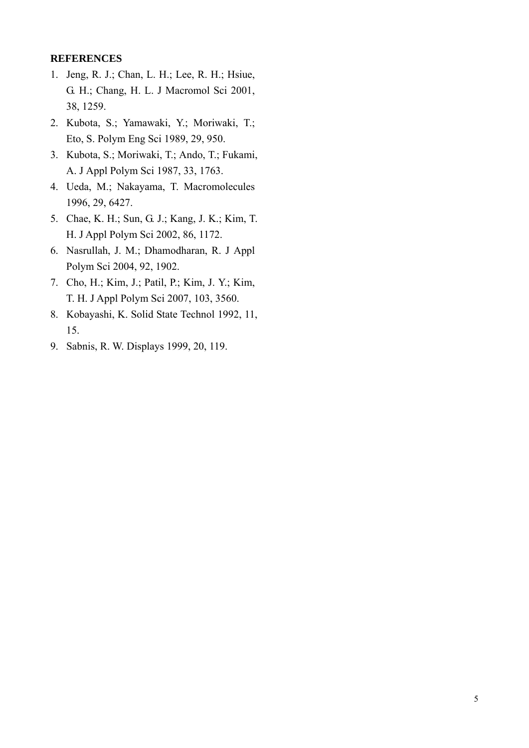## **REFERENCES**

- 1. Jeng, R. J.; Chan, L. H.; Lee, R. H.; Hsiue, G. H.; Chang, H. L. J Macromol Sci 2001, 38, 1259.
- 2. Kubota, S.; Yamawaki, Y.; Moriwaki, T.; Eto, S. Polym Eng Sci 1989, 29, 950.
- 3. Kubota, S.; Moriwaki, T.; Ando, T.; Fukami, A. J Appl Polym Sci 1987, 33, 1763.
- 4. Ueda, M.; Nakayama, T. Macromolecules 1996, 29, 6427.
- 5. Chae, K. H.; Sun, G. J.; Kang, J. K.; Kim, T. H. J Appl Polym Sci 2002, 86, 1172.
- 6. Nasrullah, J. M.; Dhamodharan, R. J Appl Polym Sci 2004, 92, 1902.
- 7. Cho, H.; Kim, J.; Patil, P.; Kim, J. Y.; Kim, T. H. J Appl Polym Sci 2007, 103, 3560.
- 8. Kobayashi, K. Solid State Technol 1992, 11, 15.
- 9. Sabnis, R. W. Displays 1999, 20, 119.